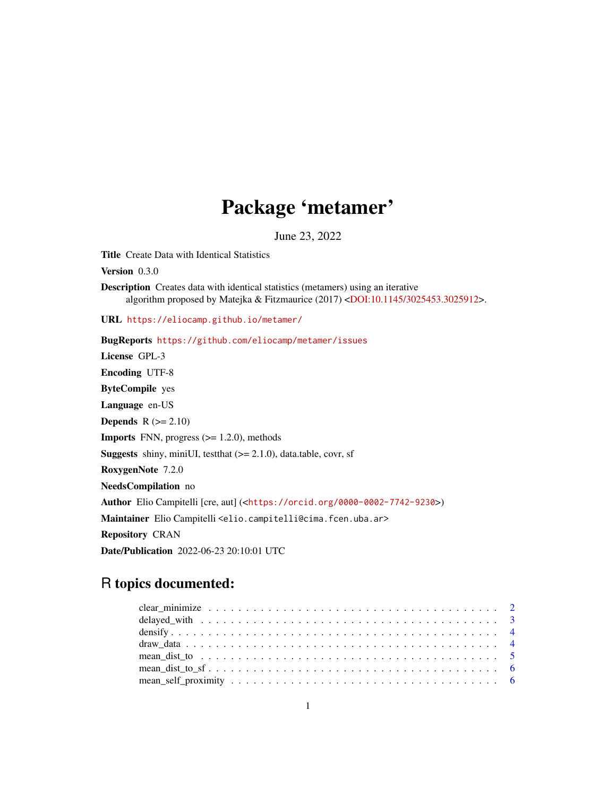# Package 'metamer'

June 23, 2022

Title Create Data with Identical Statistics

Version 0.3.0

Description Creates data with identical statistics (metamers) using an iterative algorithm proposed by Matejka & Fitzmaurice (2017) [<DOI:10.1145/3025453.3025912>](https://doi.org/10.1145/3025453.3025912).

URL <https://eliocamp.github.io/metamer/>

BugReports <https://github.com/eliocamp/metamer/issues> License GPL-3 Encoding UTF-8 ByteCompile yes Language en-US **Depends**  $R$  ( $>= 2.10$ ) **Imports** FNN, progress  $(>= 1.2.0)$ , methods **Suggests** shiny, miniUI, testthat  $(>= 2.1.0)$ , data.table, covr, sf RoxygenNote 7.2.0 NeedsCompilation no Author Elio Campitelli [cre, aut] (<<https://orcid.org/0000-0002-7742-9230>>) Maintainer Elio Campitelli <elio.campitelli@cima.fcen.uba.ar> Repository CRAN Date/Publication 2022-06-23 20:10:01 UTC

# R topics documented: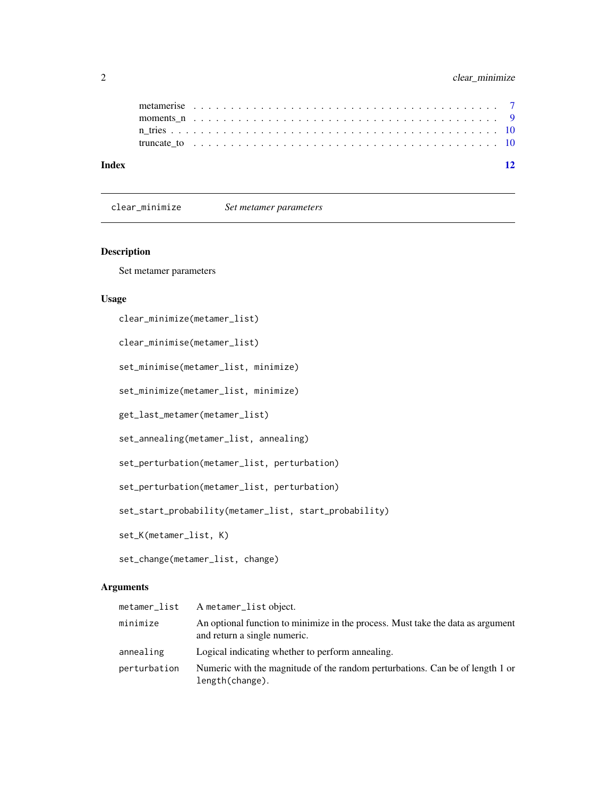<span id="page-1-0"></span>

clear\_minimize *Set metamer parameters*

# Description

Set metamer parameters

# Usage

```
clear_minimize(metamer_list)
```
clear\_minimise(metamer\_list)

set\_minimise(metamer\_list, minimize)

set\_minimize(metamer\_list, minimize)

```
get_last_metamer(metamer_list)
```

```
set_annealing(metamer_list, annealing)
```

```
set_perturbation(metamer_list, perturbation)
```

```
set_perturbation(metamer_list, perturbation)
```
set\_start\_probability(metamer\_list, start\_probability)

set\_K(metamer\_list, K)

set\_change(metamer\_list, change)

# Arguments

| metamer_list | A metamer_list object.                                                                                          |
|--------------|-----------------------------------------------------------------------------------------------------------------|
| minimize     | An optional function to minimize in the process. Must take the data as argument<br>and return a single numeric. |
| annealing    | Logical indicating whether to perform annealing.                                                                |
| perturbation | Numeric with the magnitude of the random perturbations. Can be of length 1 or<br>length(change).                |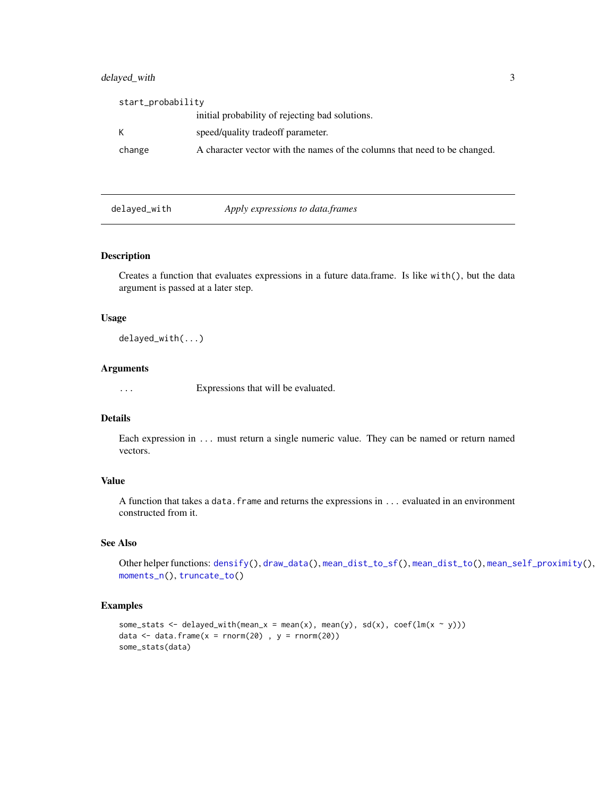# <span id="page-2-0"></span>delayed\_with 3

| start_probability |                                                                           |
|-------------------|---------------------------------------------------------------------------|
|                   | initial probability of rejecting bad solutions.                           |
|                   | speed/quality tradeoff parameter.                                         |
| change            | A character vector with the names of the columns that need to be changed. |

<span id="page-2-1"></span>

delayed\_with *Apply expressions to data.frames*

# Description

Creates a function that evaluates expressions in a future data.frame. Is like with $()$ , but the data argument is passed at a later step.

#### Usage

delayed\_with(...)

#### Arguments

... Expressions that will be evaluated.

#### Details

Each expression in ... must return a single numeric value. They can be named or return named vectors.

# Value

A function that takes a data. frame and returns the expressions in ... evaluated in an environment constructed from it.

#### See Also

Other helper functions: [densify\(](#page-3-1)), [draw\\_data\(](#page-3-2)), [mean\\_dist\\_to\\_sf\(](#page-5-1)), [mean\\_dist\\_to\(](#page-4-1)), [mean\\_self\\_proximity\(](#page-5-2)), [moments\\_n\(](#page-8-1)), [truncate\\_to\(](#page-9-1))

# Examples

```
some_stats <- delayed_with(mean_x = mean(x), mean(y), sd(x), coef(lm(x ~ y)))
data \leq data.frame(x = rnorm(20), y = rnorm(20))
some_stats(data)
```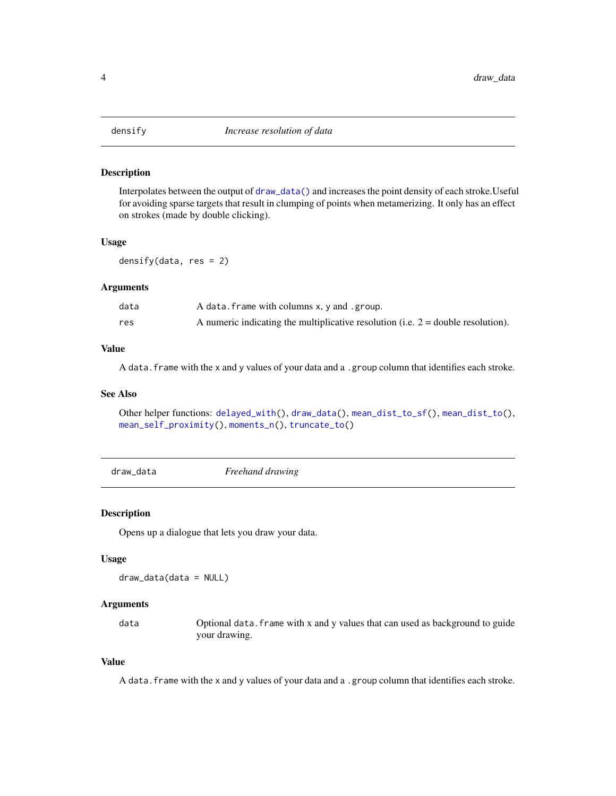<span id="page-3-1"></span><span id="page-3-0"></span>

#### Description

Interpolates between the output of [draw\\_data\(\)](#page-3-2) and increases the point density of each stroke.Useful for avoiding sparse targets that result in clumping of points when metamerizing. It only has an effect on strokes (made by double clicking).

#### Usage

densify(data,  $res = 2$ )

# Arguments

| data | A data. frame with columns x, y and . group.                                       |
|------|------------------------------------------------------------------------------------|
| res  | A numeric indicating the multiplicative resolution (i.e. $2 =$ double resolution). |

# Value

A data.frame with the x and y values of your data and a .group column that identifies each stroke.

# See Also

Other helper functions: [delayed\\_with\(](#page-2-1)), [draw\\_data\(](#page-3-2)), [mean\\_dist\\_to\\_sf\(](#page-5-1)), [mean\\_dist\\_to\(](#page-4-1)), [mean\\_self\\_proximity\(](#page-5-2)), [moments\\_n\(](#page-8-1)), [truncate\\_to\(](#page-9-1))

<span id="page-3-2"></span>draw\_data *Freehand drawing*

# Description

Opens up a dialogue that lets you draw your data.

#### Usage

draw\_data(data = NULL)

#### Arguments

data Optional data.frame with x and y values that can used as background to guide your drawing.

# Value

A data.frame with the x and y values of your data and a .group column that identifies each stroke.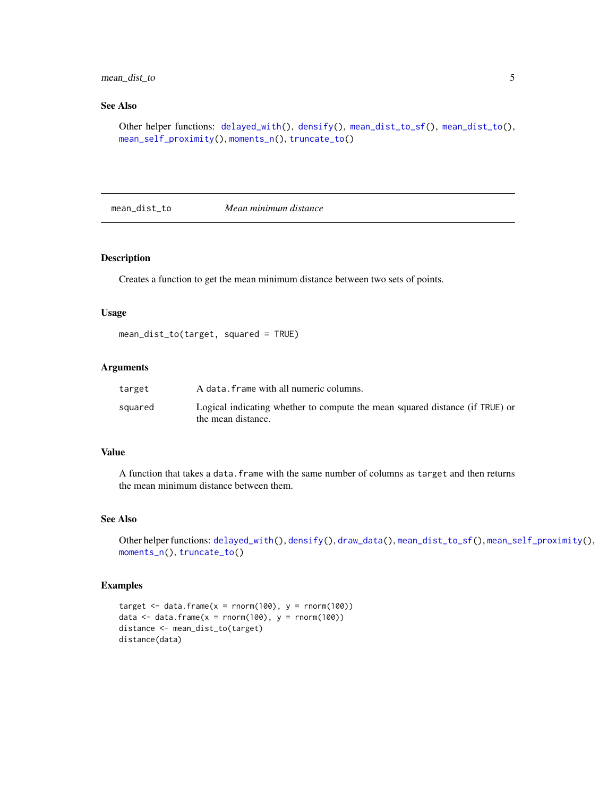# <span id="page-4-0"></span>mean\_dist\_to 5

# See Also

```
Other helper functions: delayed_with(), densify(), mean_dist_to_sf(), mean_dist_to(),
mean_self_proximity(), moments_n(), truncate_to()
```
<span id="page-4-1"></span>mean\_dist\_to *Mean minimum distance*

# Description

Creates a function to get the mean minimum distance between two sets of points.

#### Usage

```
mean_dist_to(target, squared = TRUE)
```
#### Arguments

| target  | A data. frame with all numeric columns.                                      |
|---------|------------------------------------------------------------------------------|
| squared | Logical indicating whether to compute the mean squared distance (if TRUE) or |
|         | the mean distance.                                                           |

### Value

A function that takes a data.frame with the same number of columns as target and then returns the mean minimum distance between them.

# See Also

```
Other helper functions: delayed_with(), densify(), draw_data(), mean_dist_to_sf(), mean_self_proximity(),
moments_n(), truncate_to()
```
# Examples

```
target \le data.frame(x = rnorm(100), y = rnorm(100))
data \le data.frame(x = rnorm(100), y = rnorm(100))
distance <- mean_dist_to(target)
distance(data)
```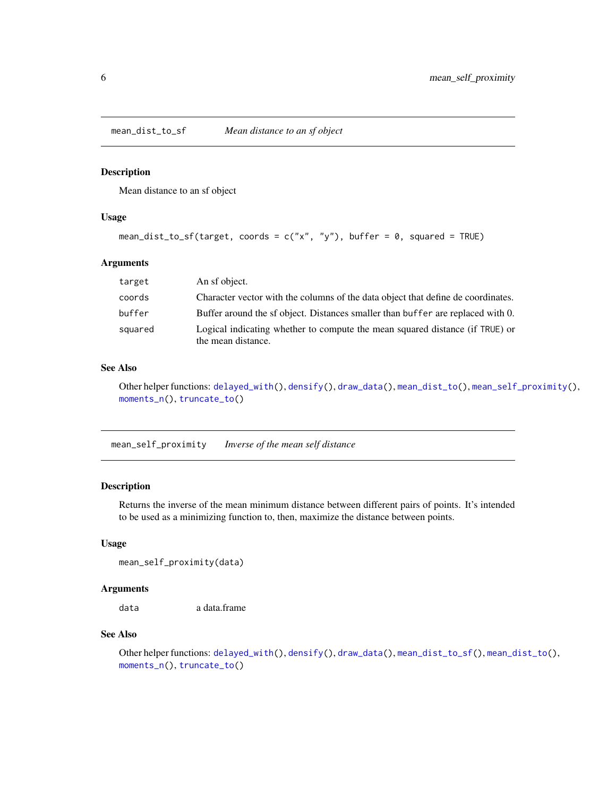<span id="page-5-1"></span><span id="page-5-0"></span>mean\_dist\_to\_sf *Mean distance to an sf object*

#### Description

Mean distance to an sf object

#### Usage

```
mean_dist_to_sf(target, coords = c("x", "y"), buffer = 0, squared = TRUE)
```
# Arguments

| target  | An sf object.                                                                                      |
|---------|----------------------------------------------------------------------------------------------------|
| coords  | Character vector with the columns of the data object that define de coordinates.                   |
| buffer  | Buffer around the sf object. Distances smaller than buffer are replaced with 0.                    |
| squared | Logical indicating whether to compute the mean squared distance (if TRUE) or<br>the mean distance. |

# See Also

```
Other helper functions: delayed_with(), densify(), draw_data(), mean_dist_to(), mean_self_proximity(),
moments_n(), truncate_to()
```
<span id="page-5-2"></span>mean\_self\_proximity *Inverse of the mean self distance*

# Description

Returns the inverse of the mean minimum distance between different pairs of points. It's intended to be used as a minimizing function to, then, maximize the distance between points.

#### Usage

```
mean_self_proximity(data)
```
#### Arguments

data a data.frame

#### See Also

Other helper functions: [delayed\\_with\(](#page-2-1)), [densify\(](#page-3-1)), [draw\\_data\(](#page-3-2)), [mean\\_dist\\_to\\_sf\(](#page-5-1)), [mean\\_dist\\_to\(](#page-4-1)), [moments\\_n\(](#page-8-1)), [truncate\\_to\(](#page-9-1))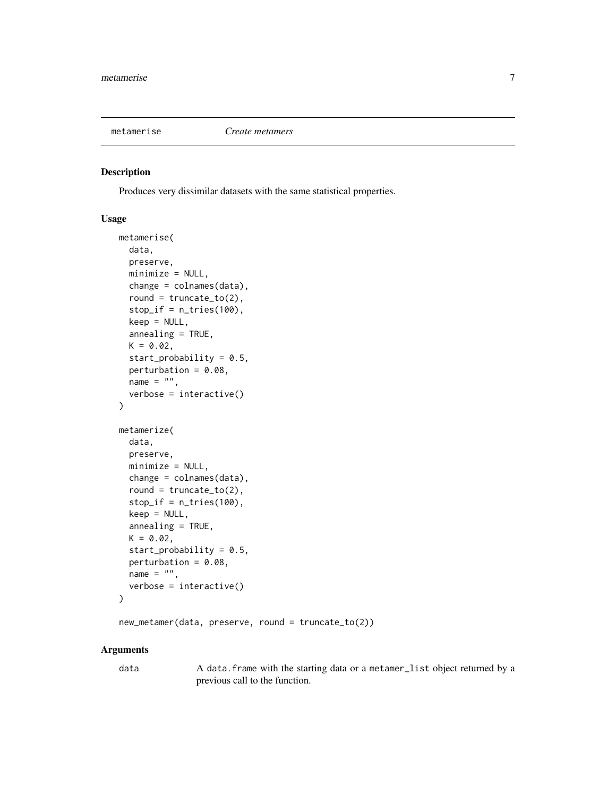<span id="page-6-0"></span>

#### Description

Produces very dissimilar datasets with the same statistical properties.

# Usage

```
metamerise(
  data,
 preserve,
 minimize = NULL,
  change = colnames(data),
  round = truncate_to(2),
  stop_if = n_tries(100),
  keep = NULL,
  annealing = TRUE,
 K = 0.02,
  start_probability = 0.5,
  perturbation = 0.08,
  name = ",
  verbose = interactive())
metamerize(
  data,
 preserve,
 minimize = NULL,
  change = colnames(data),
  round = truncated_to(2),
  stop_if = n_tries(100),
  keep = NULL,
  annealing = TRUE,
 K = 0.02,
  start_probability = 0.5,
  perturbation = 0.08,
 name = ",
  verbose = interactive())
```
new\_metamer(data, preserve, round = truncate\_to(2))

#### Arguments

data A data.frame with the starting data or a metamer\_list object returned by a previous call to the function.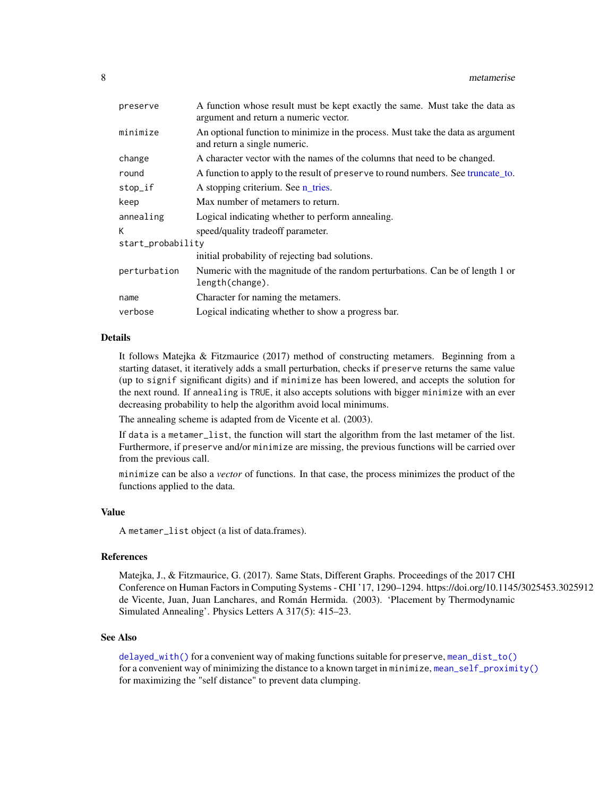<span id="page-7-0"></span>

| A function whose result must be kept exactly the same. Must take the data as<br>argument and return a numeric vector. |  |
|-----------------------------------------------------------------------------------------------------------------------|--|
| An optional function to minimize in the process. Must take the data as argument<br>and return a single numeric.       |  |
| A character vector with the names of the columns that need to be changed.                                             |  |
| A function to apply to the result of preserve to round numbers. See truncate to.                                      |  |
| A stopping criterium. See n_tries.                                                                                    |  |
| Max number of metamers to return.                                                                                     |  |
| Logical indicating whether to perform annealing.                                                                      |  |
| speed/quality tradeoff parameter.                                                                                     |  |
| start_probability                                                                                                     |  |
| initial probability of rejecting bad solutions.                                                                       |  |
| Numeric with the magnitude of the random perturbations. Can be of length 1 or<br>length(change).                      |  |
| Character for naming the metamers.                                                                                    |  |
| Logical indicating whether to show a progress bar.                                                                    |  |
|                                                                                                                       |  |

# Details

It follows Matejka & Fitzmaurice (2017) method of constructing metamers. Beginning from a starting dataset, it iteratively adds a small perturbation, checks if preserve returns the same value (up to signif significant digits) and if minimize has been lowered, and accepts the solution for the next round. If annealing is TRUE, it also accepts solutions with bigger minimize with an ever decreasing probability to help the algorithm avoid local minimums.

The annealing scheme is adapted from de Vicente et al. (2003).

If data is a metamer\_list, the function will start the algorithm from the last metamer of the list. Furthermore, if preserve and/or minimize are missing, the previous functions will be carried over from the previous call.

minimize can be also a *vector* of functions. In that case, the process minimizes the product of the functions applied to the data.

#### Value

A metamer\_list object (a list of data.frames).

#### References

Matejka, J., & Fitzmaurice, G. (2017). Same Stats, Different Graphs. Proceedings of the 2017 CHI Conference on Human Factors in Computing Systems - CHI '17, 1290–1294. https://doi.org/10.1145/3025453.3025912 de Vicente, Juan, Juan Lanchares, and Román Hermida. (2003). 'Placement by Thermodynamic Simulated Annealing'. Physics Letters A 317(5): 415–23.

#### See Also

[delayed\\_with\(\)](#page-2-1) for a convenient way of making functions suitable for preserve, [mean\\_dist\\_to\(\)](#page-4-1) for a convenient way of minimizing the distance to a known target in minimize, [mean\\_self\\_proximity\(\)](#page-5-2) for maximizing the "self distance" to prevent data clumping.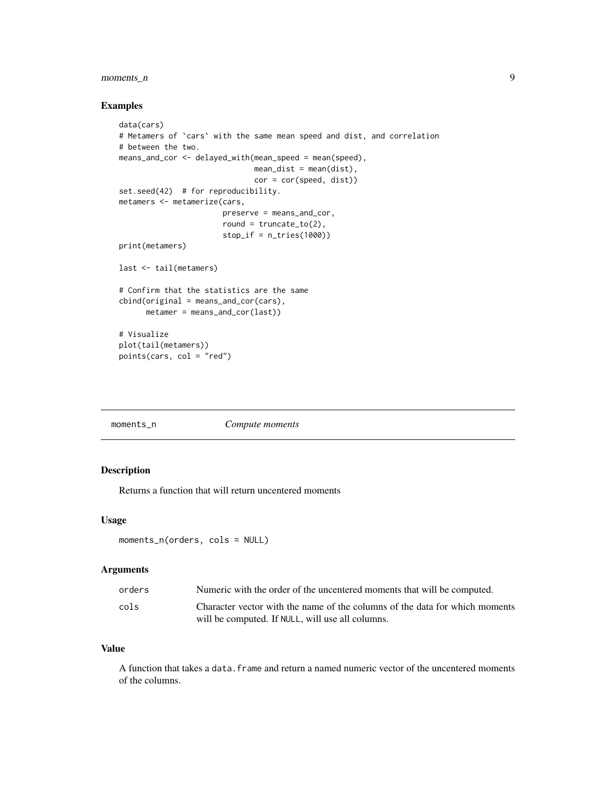# <span id="page-8-0"></span>moments\_n 9

# Examples

```
data(cars)
# Metamers of `cars` with the same mean speed and dist, and correlation
# between the two.
means_and_cor <- delayed_with(mean_speed = mean(speed),
                              mean\_dist = mean(dist),
                              cor = cor(speed, dist))
set.seed(42) # for reproducibility.
metamers <- metamerize(cars,
                       preserve = means_and_cor,
                       round = truncated_to(2),
                       stop_if = n_tries(1000))
print(metamers)
last <- tail(metamers)
# Confirm that the statistics are the same
cbind(original = means_and_cor(cars),
     metamer = means_and_cor(last))
# Visualize
plot(tail(metamers))
points(cars, col = "red")
```
<span id="page-8-1"></span>

| moments n | Compute moments |
|-----------|-----------------|
|-----------|-----------------|

# Description

Returns a function that will return uncentered moments

# Usage

```
moments_n(orders, cols = NULL)
```
# Arguments

| orders | Numeric with the order of the uncentered moments that will be computed.     |
|--------|-----------------------------------------------------------------------------|
| cols   | Character vector with the name of the columns of the data for which moments |
|        | will be computed. If NULL, will use all columns.                            |

# Value

A function that takes a data. frame and return a named numeric vector of the uncentered moments of the columns.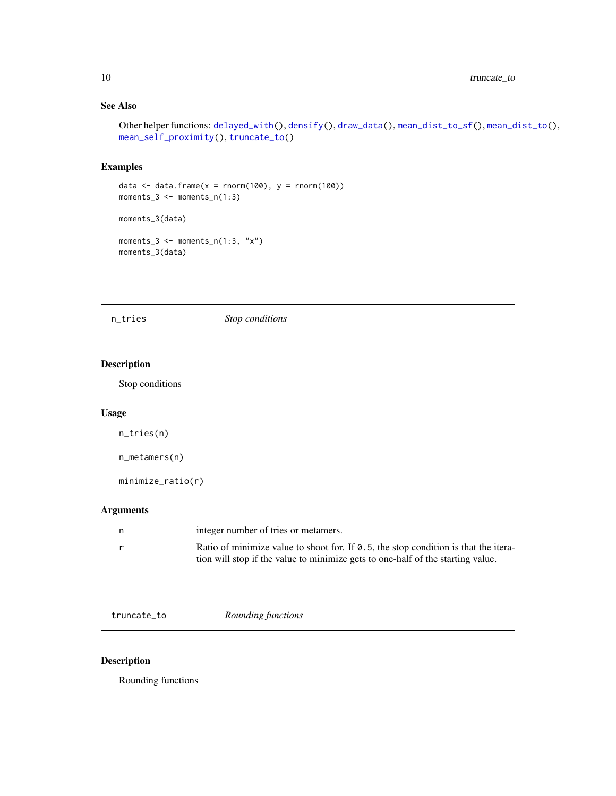# <span id="page-9-0"></span>See Also

```
Other helper functions: delayed_with(), densify(), draw_data(), mean_dist_to_sf(), mean_dist_to(),
mean_self_proximity(), truncate_to()
```
# Examples

```
data \leq data.frame(x = rnorm(100), y = rnorm(100))
moments_3 <- moments_n(1:3)
moments_3(data)
moments_3 \leq moments_n(1:3, "x")
moments_3(data)
```
<span id="page-9-2"></span>n\_tries *Stop conditions*

# Description

Stop conditions

# Usage

n\_tries(n)

```
n_metamers(n)
```
minimize\_ratio(r)

# Arguments

| n. | integer number of tries or metamers.                                                        |
|----|---------------------------------------------------------------------------------------------|
|    | Ratio of minimize value to shoot for. If $\theta$ .5, the stop condition is that the itera- |
|    | tion will stop if the value to minimize gets to one-half of the starting value.             |

<span id="page-9-1"></span>truncate\_to *Rounding functions*

# Description

Rounding functions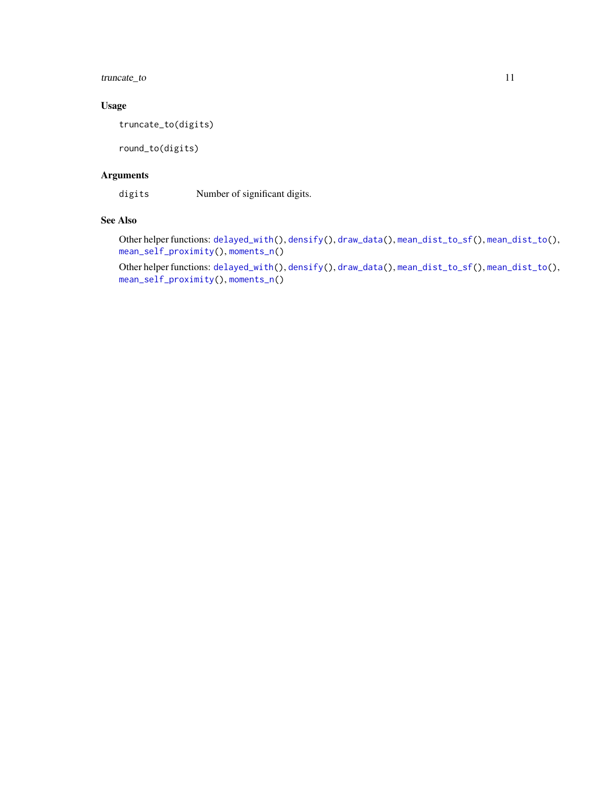# <span id="page-10-0"></span>truncate\_to 11

# Usage

truncate\_to(digits)

round\_to(digits)

# Arguments

digits Number of significant digits.

# See Also

Other helper functions: [delayed\\_with\(](#page-2-1)), [densify\(](#page-3-1)), [draw\\_data\(](#page-3-2)), [mean\\_dist\\_to\\_sf\(](#page-5-1)), [mean\\_dist\\_to\(](#page-4-1)), [mean\\_self\\_proximity\(](#page-5-2)), [moments\\_n\(](#page-8-1))

Other helper functions: [delayed\\_with\(](#page-2-1)), [densify\(](#page-3-1)), [draw\\_data\(](#page-3-2)), [mean\\_dist\\_to\\_sf\(](#page-5-1)), [mean\\_dist\\_to\(](#page-4-1)), [mean\\_self\\_proximity\(](#page-5-2)), [moments\\_n\(](#page-8-1))